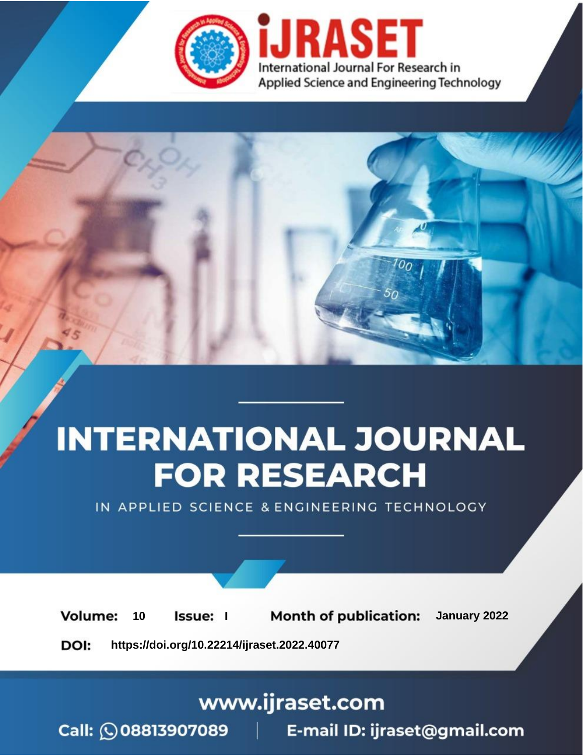

# **INTERNATIONAL JOURNAL FOR RESEARCH**

IN APPLIED SCIENCE & ENGINEERING TECHNOLOGY

**Month of publication:** January 2022 **Volume:** 10 **Issue:** I

DOI: https://doi.org/10.22214/ijraset.2022.40077

www.ijraset.com

Call: 008813907089 | E-mail ID: ijraset@gmail.com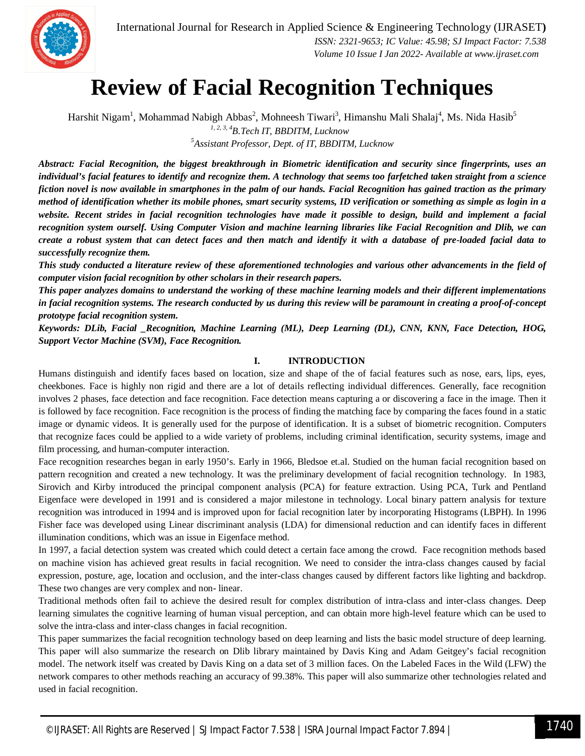

### **Review of Facial Recognition Techniques**

Harshit Nigam<sup>1</sup>, Mohammad Nabigh Abbas<sup>2</sup>, Mohneesh Tiwari<sup>3</sup>, Himanshu Mali Shalaj<sup>4</sup>, Ms. Nida Hasib<sup>5</sup> *1, 2, 3, 4B.Tech IT, BBDITM, Lucknow <sup>5</sup>Assistant Professor, Dept. of IT, BBDITM, Lucknow*

*Abstract: Facial Recognition, the biggest breakthrough in Biometric identification and security since fingerprints, uses an individual's facial features to identify and recognize them. A technology that seems too farfetched taken straight from a science fiction novel is now available in smartphones in the palm of our hands. Facial Recognition has gained traction as the primary method of identification whether its mobile phones, smart security systems, ID verification or something as simple as login in a website. Recent strides in facial recognition technologies have made it possible to design, build and implement a facial recognition system ourself. Using Computer Vision and machine learning libraries like Facial Recognition and Dlib, we can create a robust system that can detect faces and then match and identify it with a database of pre-loaded facial data to successfully recognize them.*

*This study conducted a literature review of these aforementioned technologies and various other advancements in the field of computer vision facial recognition by other scholars in their research papers.* 

*This paper analyzes domains to understand the working of these machine learning models and their different implementations in facial recognition systems. The research conducted by us during this review will be paramount in creating a proof-of-concept prototype facial recognition system.*

*Keywords: DLib, Facial \_Recognition, Machine Learning (ML), Deep Learning (DL), CNN, KNN, Face Detection, HOG, Support Vector Machine (SVM), Face Recognition.*

#### **I. INTRODUCTION**

Humans distinguish and identify faces based on location, size and shape of the of facial features such as nose, ears, lips, eyes, cheekbones. Face is highly non rigid and there are a lot of details reflecting individual differences. Generally, face recognition involves 2 phases, face detection and face recognition. Face detection means capturing a or discovering a face in the image. Then it is followed by face recognition. Face recognition is the process of finding the matching face by comparing the faces found in a static image or dynamic videos. It is generally used for the purpose of identification. It is a subset of biometric recognition. Computers that recognize faces could be applied to a wide variety of problems, including criminal identification, security systems, image and film processing, and human-computer interaction.

Face recognition researches began in early 1950's. Early in 1966, Bledsoe et.al. Studied on the human facial recognition based on pattern recognition and created a new technology. It was the preliminary development of facial recognition technology. In 1983, Sirovich and Kirby introduced the principal component analysis (PCA) for feature extraction. Using PCA, Turk and Pentland Eigenface were developed in 1991 and is considered a major milestone in technology. Local binary pattern analysis for texture recognition was introduced in 1994 and is improved upon for facial recognition later by incorporating Histograms (LBPH). In 1996 Fisher face was developed using Linear discriminant analysis (LDA) for dimensional reduction and can identify faces in different illumination conditions, which was an issue in Eigenface method.

In 1997, a facial detection system was created which could detect a certain face among the crowd. Face recognition methods based on machine vision has achieved great results in facial recognition. We need to consider the intra-class changes caused by facial expression, posture, age, location and occlusion, and the inter-class changes caused by different factors like lighting and backdrop. These two changes are very complex and non- linear.

Traditional methods often fail to achieve the desired result for complex distribution of intra-class and inter-class changes. Deep learning simulates the cognitive learning of human visual perception, and can obtain more high-level feature which can be used to solve the intra-class and inter-class changes in facial recognition.

This paper summarizes the facial recognition technology based on deep learning and lists the basic model structure of deep learning. This paper will also summarize the research on Dlib library maintained by Davis King and Adam Geitgey's facial recognition model. The network itself was created by Davis King on a data set of 3 million faces. On the Labeled Faces in the Wild (LFW) the network compares to other methods reaching an accuracy of 99.38%. This paper will also summarize other technologies related and used in facial recognition.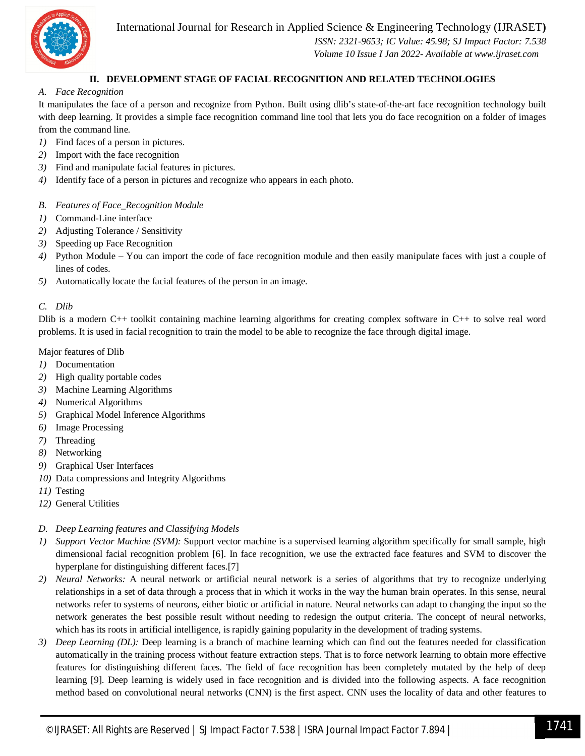International Journal for Research in Applied Science & Engineering Technology (IJRASET**)**



 *ISSN: 2321-9653; IC Value: 45.98; SJ Impact Factor: 7.538 Volume 10 Issue I Jan 2022- Available at www.ijraset.com*

#### **II. DEVELOPMENT STAGE OF FACIAL RECOGNITION AND RELATED TECHNOLOGIES**

#### *A. Face Recognition*

It manipulates the face of a person and recognize from Python. Built using dlib's state-of-the-art face recognition technology built with deep learning. It provides a simple face recognition command line tool that lets you do face recognition on a folder of images from the command line.

- *1)* Find faces of a person in pictures.
- *2)* Import with the face recognition
- *3)* Find and manipulate facial features in pictures.
- *4)* Identify face of a person in pictures and recognize who appears in each photo.
- *B. Features of Face\_Recognition Module*
- *1)* Command-Line interface
- *2)* Adjusting Tolerance / Sensitivity
- *3)* Speeding up Face Recognition
- *4)* Python Module You can import the code of face recognition module and then easily manipulate faces with just a couple of lines of codes.
- *5)* Automatically locate the facial features of the person in an image.

#### *C. Dlib*

Dlib is a modern C++ toolkit containing machine learning algorithms for creating complex software in C++ to solve real word problems. It is used in facial recognition to train the model to be able to recognize the face through digital image.

#### Major features of Dlib

- *1)* Documentation
- *2)* High quality portable codes
- *3)* Machine Learning Algorithms
- *4)* Numerical Algorithms
- *5)* Graphical Model Inference Algorithms
- *6)* Image Processing
- *7)* Threading
- *8)* Networking
- *9)* Graphical User Interfaces
- *10)* Data compressions and Integrity Algorithms
- *11)* Testing
- *12)* General Utilities

#### *D. Deep Learning features and Classifying Models*

- *1) Support Vector Machine (SVM):* Support vector machine is a supervised learning algorithm specifically for small sample, high dimensional facial recognition problem [6]. In face recognition, we use the extracted face features and SVM to discover the hyperplane for distinguishing different faces.[7]
- *2) Neural Networks:* A neural network or artificial neural network is a series of algorithms that try to recognize underlying relationships in a set of data through a process that in which it works in the way the human brain operates. In this sense, neural networks refer to systems of neurons, either biotic or artificial in nature. Neural networks can adapt to changing the input so the network generates the best possible result without needing to redesign the output criteria. The concept of neural networks, which has its roots in artificial intelligence, is rapidly gaining popularity in the development of trading systems.
- *3) Deep Learning (DL):* Deep learning is a branch of machine learning which can find out the features needed for classification automatically in the training process without feature extraction steps. That is to force network learning to obtain more effective features for distinguishing different faces. The field of face recognition has been completely mutated by the help of deep learning [9]. Deep learning is widely used in face recognition and is divided into the following aspects. A face recognition method based on convolutional neural networks (CNN) is the first aspect. CNN uses the locality of data and other features to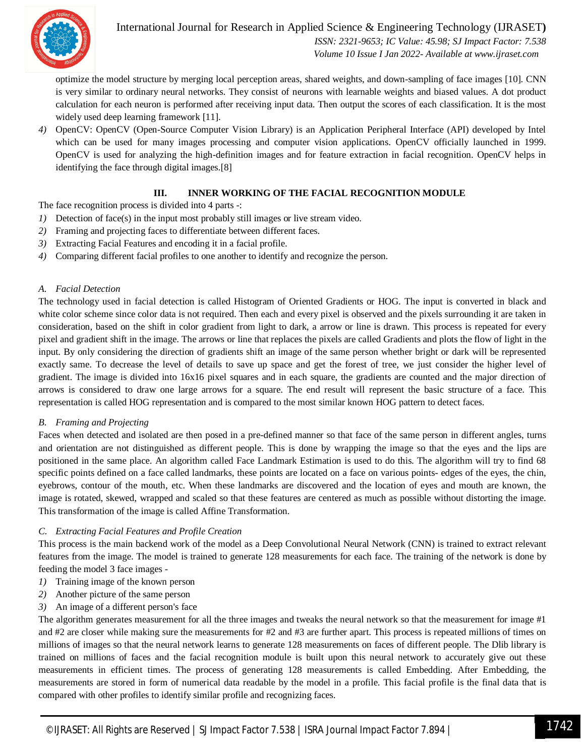

International Journal for Research in Applied Science & Engineering Technology (IJRASET**)**

 *ISSN: 2321-9653; IC Value: 45.98; SJ Impact Factor: 7.538 Volume 10 Issue I Jan 2022- Available at www.ijraset.com*

optimize the model structure by merging local perception areas, shared weights, and down-sampling of face images [10]. CNN is very similar to ordinary neural networks. They consist of neurons with learnable weights and biased values. A dot product calculation for each neuron is performed after receiving input data. Then output the scores of each classification. It is the most widely used deep learning framework [11].

*4)* OpenCV: OpenCV (Open-Source Computer Vision Library) is an Application Peripheral Interface (API) developed by Intel which can be used for many images processing and computer vision applications. OpenCV officially launched in 1999. OpenCV is used for analyzing the high-definition images and for feature extraction in facial recognition. OpenCV helps in identifying the face through digital images.[8]

#### **III. INNER WORKING OF THE FACIAL RECOGNITION MODULE**

The face recognition process is divided into 4 parts -:

- *1)* Detection of face(s) in the input most probably still images or live stream video.
- *2)* Framing and projecting faces to differentiate between different faces.
- *3)* Extracting Facial Features and encoding it in a facial profile.
- *4)* Comparing different facial profiles to one another to identify and recognize the person.

#### *A. Facial Detection*

The technology used in facial detection is called Histogram of Oriented Gradients or HOG. The input is converted in black and white color scheme since color data is not required. Then each and every pixel is observed and the pixels surrounding it are taken in consideration, based on the shift in color gradient from light to dark, a arrow or line is drawn. This process is repeated for every pixel and gradient shift in the image. The arrows or line that replaces the pixels are called Gradients and plots the flow of light in the input. By only considering the direction of gradients shift an image of the same person whether bright or dark will be represented exactly same. To decrease the level of details to save up space and get the forest of tree, we just consider the higher level of gradient. The image is divided into 16x16 pixel squares and in each square, the gradients are counted and the major direction of arrows is considered to draw one large arrows for a square. The end result will represent the basic structure of a face. This representation is called HOG representation and is compared to the most similar known HOG pattern to detect faces.

#### *B. Framing and Projecting*

Faces when detected and isolated are then posed in a pre-defined manner so that face of the same person in different angles, turns and orientation are not distinguished as different people. This is done by wrapping the image so that the eyes and the lips are positioned in the same place. An algorithm called Face Landmark Estimation is used to do this. The algorithm will try to find 68 specific points defined on a face called landmarks, these points are located on a face on various points- edges of the eyes, the chin, eyebrows, contour of the mouth, etc. When these landmarks are discovered and the location of eyes and mouth are known, the image is rotated, skewed, wrapped and scaled so that these features are centered as much as possible without distorting the image. This transformation of the image is called Affine Transformation.

#### *C. Extracting Facial Features and Profile Creation*

This process is the main backend work of the model as a Deep Convolutional Neural Network (CNN) is trained to extract relevant features from the image. The model is trained to generate 128 measurements for each face. The training of the network is done by feeding the model 3 face images -

- *1)* Training image of the known person
- *2)* Another picture of the same person
- *3)* An image of a different person's face

The algorithm generates measurement for all the three images and tweaks the neural network so that the measurement for image #1 and  $#2$  are closer while making sure the measurements for  $#2$  and  $#3$  are further apart. This process is repeated millions of times on millions of images so that the neural network learns to generate 128 measurements on faces of different people. The Dlib library is trained on millions of faces and the facial recognition module is built upon this neural network to accurately give out these measurements in efficient times. The process of generating 128 measurements is called Embedding. After Embedding, the measurements are stored in form of numerical data readable by the model in a profile. This facial profile is the final data that is compared with other profiles to identify similar profile and recognizing faces.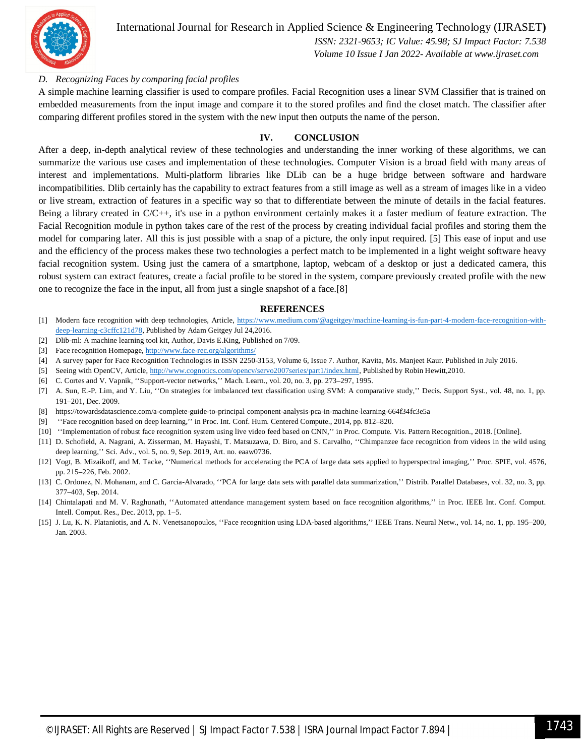

International Journal for Research in Applied Science & Engineering Technology (IJRASET**)**  *ISSN: 2321-9653; IC Value: 45.98; SJ Impact Factor: 7.538*

 *Volume 10 Issue I Jan 2022- Available at www.ijraset.com*

#### *D. Recognizing Faces by comparing facial profiles*

A simple machine learning classifier is used to compare profiles. Facial Recognition uses a linear SVM Classifier that is trained on embedded measurements from the input image and compare it to the stored profiles and find the closet match. The classifier after comparing different profiles stored in the system with the new input then outputs the name of the person.

#### **IV. CONCLUSION**

After a deep, in-depth analytical review of these technologies and understanding the inner working of these algorithms, we can summarize the various use cases and implementation of these technologies. Computer Vision is a broad field with many areas of interest and implementations. Multi-platform libraries like DLib can be a huge bridge between software and hardware incompatibilities. Dlib certainly has the capability to extract features from a still image as well as a stream of images like in a video or live stream, extraction of features in a specific way so that to differentiate between the minute of details in the facial features. Being a library created in C/C++, it's use in a python environment certainly makes it a faster medium of feature extraction. The Facial Recognition module in python takes care of the rest of the process by creating individual facial profiles and storing them the model for comparing later. All this is just possible with a snap of a picture, the only input required. [5] This ease of input and use and the efficiency of the process makes these two technologies a perfect match to be implemented in a light weight software heavy facial recognition system. Using just the camera of a smartphone, laptop, webcam of a desktop or just a dedicated camera, this robust system can extract features, create a facial profile to be stored in the system, compare previously created profile with the new one to recognize the face in the input, all from just a single snapshot of a face.[8]

#### **REFERENCES**

- [1] Modern face recognition with deep technologies, Article, https://www.medium.com/@ageitgey/machine-learning-is-fun-part-4-modern-face-recognition-withdeep-learning-c3cffc121d78, Published by Adam Geitgey Jul 24,2016.
- [2] Dlib-ml: A machine learning tool kit, Author, Davis E.King, Published on 7/09.
- [3] Face recognition Homepage, http://www.face-rec.org/algorithms/
- [4] A survey paper for Face Recognition Technologies in ISSN 2250-3153, Volume 6, Issue 7. Author, Kavita, Ms. Manjeet Kaur. Published in July 2016.
- [5] Seeing with OpenCV, Article, http://www.cognotics.com/opencv/servo2007series/part1/index.html, Published by Robin Hewitt,2010.
- [6] C. Cortes and V. Vapnik, ''Support-vector networks,'' Mach. Learn., vol. 20, no. 3, pp. 273–297, 1995.
- [7] A. Sun, E.-P. Lim, and Y. Liu, ''On strategies for imbalanced text classification using SVM: A comparative study,'' Decis. Support Syst., vol. 48, no. 1, pp. 191–201, Dec. 2009.
- [8] https://towardsdatascience.com/a-complete-guide-to-principal component-analysis-pca-in-machine-learning-664f34fc3e5a
- [9] ''Face recognition based on deep learning,'' in Proc. Int. Conf. Hum. Centered Compute., 2014, pp. 812–820.
- [10] ''Implementation of robust face recognition system using live video feed based on CNN,'' in Proc. Compute. Vis. Pattern Recognition., 2018. [Online].
- [11] D. Schofield, A. Nagrani, A. Zisserman, M. Hayashi, T. Matsuzawa, D. Biro, and S. Carvalho, ''Chimpanzee face recognition from videos in the wild using deep learning,'' Sci. Adv., vol. 5, no. 9, Sep. 2019, Art. no. eaaw0736.
- [12] Vogt, B. Mizaikoff, and M. Tacke, ''Numerical methods for accelerating the PCA of large data sets applied to hyperspectral imaging,'' Proc. SPIE, vol. 4576, pp. 215–226, Feb. 2002.
- [13] C. Ordonez, N. Mohanam, and C. Garcia-Alvarado, "PCA for large data sets with parallel data summarization," Distrib. Parallel Databases, vol. 32, no. 3, pp. 377–403, Sep. 2014.
- [14] Chintalapati and M. V. Raghunath, ''Automated attendance management system based on face recognition algorithms,'' in Proc. IEEE Int. Conf. Comput. Intell. Comput. Res., Dec. 2013, pp. 1–5.
- [15] J. Lu, K. N. Plataniotis, and A. N. Venetsanopoulos, "Face recognition using LDA-based algorithms," IEEE Trans. Neural Netw., vol. 14, no. 1, pp. 195–200, Jan. 2003.